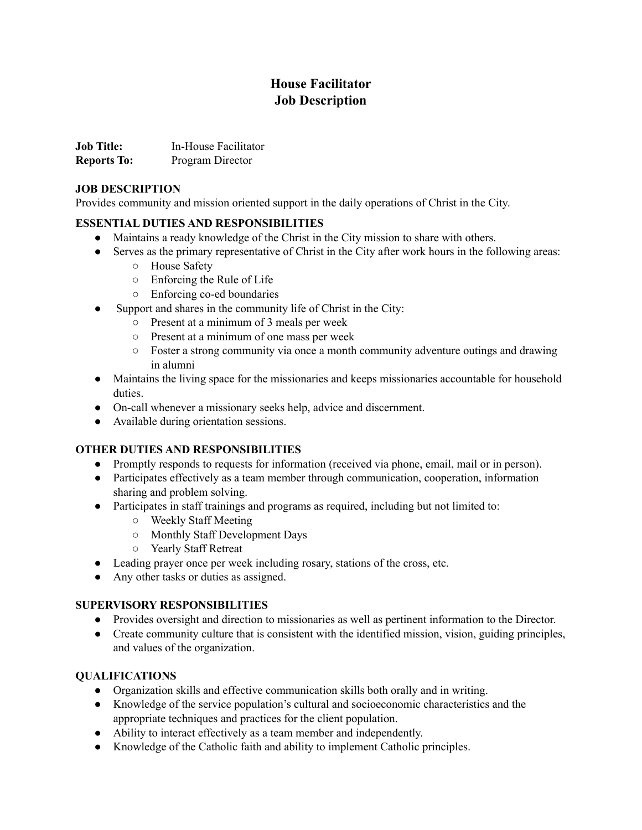# **House Facilitator Job Description**

| <b>Job Title:</b>  | In-House Facilitator |
|--------------------|----------------------|
| <b>Reports To:</b> | Program Director     |

#### **JOB DESCRIPTION**

Provides community and mission oriented support in the daily operations of Christ in the City.

#### **ESSENTIAL DUTIES AND RESPONSIBILITIES**

- Maintains a ready knowledge of the Christ in the City mission to share with others.
- Serves as the primary representative of Christ in the City after work hours in the following areas:
	- House Safety
	- Enforcing the Rule of Life
	- Enforcing co-ed boundaries
- Support and shares in the community life of Christ in the City:
	- Present at a minimum of 3 meals per week
	- Present at a minimum of one mass per week
	- Foster a strong community via once a month community adventure outings and drawing in alumni
- Maintains the living space for the missionaries and keeps missionaries accountable for household duties.
- On-call whenever a missionary seeks help, advice and discernment.
- Available during orientation sessions.

# **OTHER DUTIES AND RESPONSIBILITIES**

- Promptly responds to requests for information (received via phone, email, mail or in person).
- Participates effectively as a team member through communication, cooperation, information sharing and problem solving.
- Participates in staff trainings and programs as required, including but not limited to:
	- Weekly Staff Meeting
	- Monthly Staff Development Days
	- Yearly Staff Retreat
- Leading prayer once per week including rosary, stations of the cross, etc.
- Any other tasks or duties as assigned.

# **SUPERVISORY RESPONSIBILITIES**

- Provides oversight and direction to missionaries as well as pertinent information to the Director.
- Create community culture that is consistent with the identified mission, vision, guiding principles, and values of the organization.

# **QUALIFICATIONS**

- Organization skills and effective communication skills both orally and in writing.
- Knowledge of the service population's cultural and socioeconomic characteristics and the appropriate techniques and practices for the client population.
- Ability to interact effectively as a team member and independently.
- Knowledge of the Catholic faith and ability to implement Catholic principles.